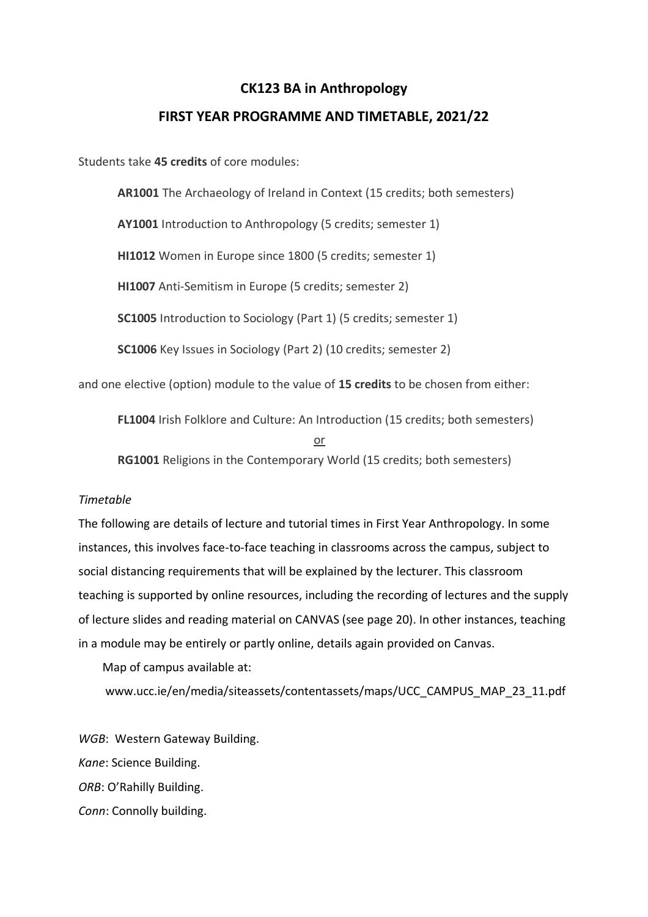# **CK123 BA in Anthropology**

## **FIRST YEAR PROGRAMME AND TIMETABLE, 2021/22**

Students take **45 credits** of core modules:

**AR1001** The Archaeology of Ireland in Context (15 credits; both semesters)

**AY1001** Introduction to Anthropology (5 credits; semester 1)

**HI1012** Women in Europe since 1800 (5 credits; semester 1)

**HI1007** Anti-Semitism in Europe (5 credits; semester 2)

**SC1005** Introduction to Sociology (Part 1) (5 credits; semester 1)

**SC1006** Key Issues in Sociology (Part 2) (10 credits; semester 2)

and one elective (option) module to the value of **15 credits** to be chosen from either:

**FL1004** Irish Folklore and Culture: An Introduction (15 credits; both semesters) or **RG1001** Religions in the Contemporary World (15 credits; both semesters)

# *Timetable*

The following are details of lecture and tutorial times in First Year Anthropology. In some instances, this involves face-to-face teaching in classrooms across the campus, subject to social distancing requirements that will be explained by the lecturer. This classroom teaching is supported by online resources, including the recording of lectures and the supply of lecture slides and reading material on CANVAS (see page 20). In other instances, teaching in a module may be entirely or partly online, details again provided on Canvas.

Map of campus available at:

www.ucc.ie/en/media/siteassets/contentassets/maps/UCC\_CAMPUS\_MAP\_23\_11.pdf

*WGB*: Western Gateway Building. *Kane*: Science Building. *ORB*: O'Rahilly Building. *Conn*: Connolly building.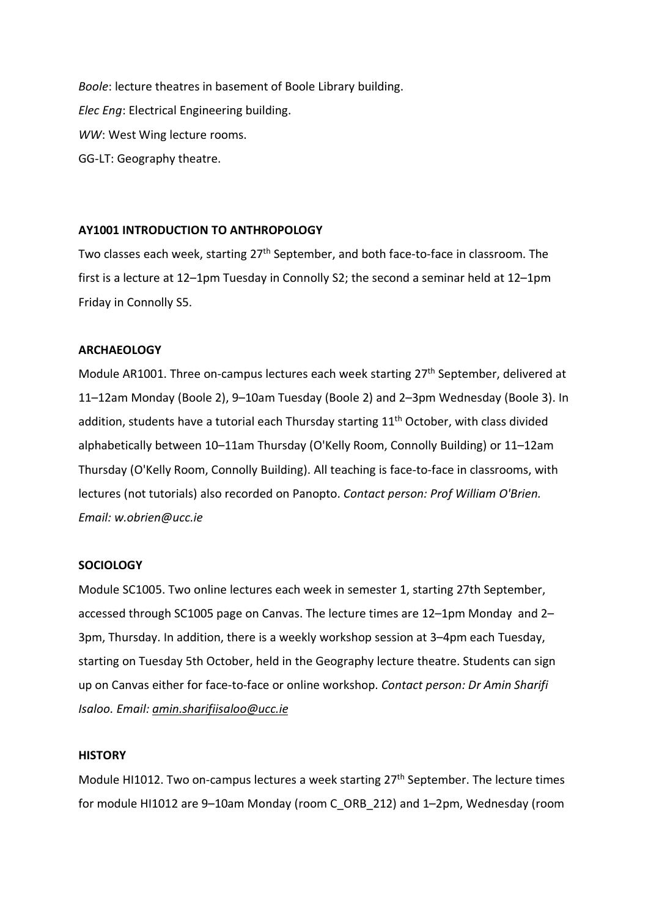*Boole*: lecture theatres in basement of Boole Library building. *Elec Eng*: Electrical Engineering building. *WW*: West Wing lecture rooms. GG-LT: Geography theatre.

## **AY1001 INTRODUCTION TO ANTHROPOLOGY**

Two classes each week, starting 27<sup>th</sup> September, and both face-to-face in classroom. The first is a lecture at 12–1pm Tuesday in Connolly S2; the second a seminar held at 12–1pm Friday in Connolly S5.

## **ARCHAEOLOGY**

Module AR1001. Three on-campus lectures each week starting  $27<sup>th</sup>$  September, delivered at 11–12am Monday (Boole 2), 9–10am Tuesday (Boole 2) and 2–3pm Wednesday (Boole 3). In addition, students have a tutorial each Thursday starting 11<sup>th</sup> October, with class divided alphabetically between 10–11am Thursday (O'Kelly Room, Connolly Building) or 11–12am Thursday (O'Kelly Room, Connolly Building). All teaching is face-to-face in classrooms, with lectures (not tutorials) also recorded on Panopto. *Contact person: Prof William O'Brien. Email: w.obrien@ucc.ie*

#### **SOCIOLOGY**

Module SC1005. Two online lectures each week in semester 1, starting 27th September, accessed through SC1005 page on Canvas. The lecture times are 12–1pm Monday and 2– 3pm, Thursday. In addition, there is a weekly workshop session at 3–4pm each Tuesday, starting on Tuesday 5th October, held in the Geography lecture theatre. Students can sign up on Canvas either for face-to-face or online workshop. *Contact person: Dr Amin Sharifi Isaloo. Email: [amin.sharifiisaloo@ucc.ie](mailto:amin.sharifiisaloo@ucc.ie)*

#### **HISTORY**

Module HI1012. Two on-campus lectures a week starting 27<sup>th</sup> September. The lecture times for module HI1012 are 9–10am Monday (room C\_ORB\_212) and 1–2pm, Wednesday (room